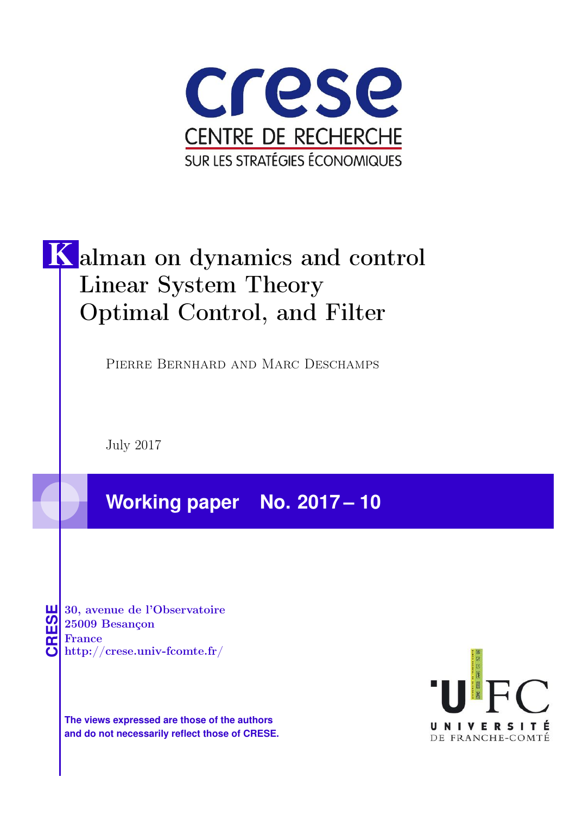

# K alman on dynamics and control Linear System Theory Optimal Control, and Filter

Pierre Bernhard and Marc Deschamps

July 2017

**Working paper No. 2017 – 10**

**CRESE 30, avenue de l'Observatoire<br>
25009 Besançon<br>
France<br>
<b>CRESE de l'Observatoire**<br>
Http://crese.univ-fcomte.fr/ 25009 Besançon France

**The views expressed are those of the authors and do not necessarily reflect those of CRESE.**

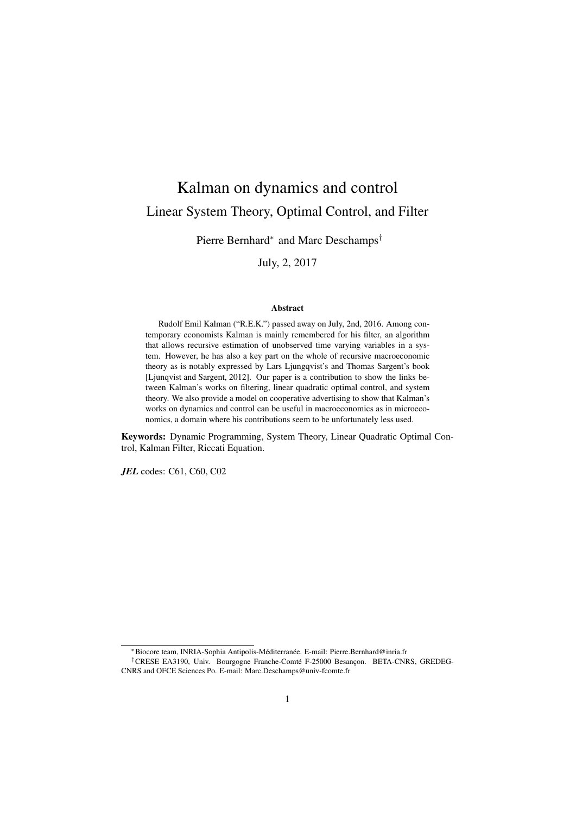## Kalman on dynamics and control Linear System Theory, Optimal Control, and Filter

Pierre Bernhard<sup>∗</sup> and Marc Deschamps<sup>†</sup>

July, 2, 2017

#### Abstract

Rudolf Emil Kalman ("R.E.K.") passed away on July, 2nd, 2016. Among contemporary economists Kalman is mainly remembered for his filter, an algorithm that allows recursive estimation of unobserved time varying variables in a system. However, he has also a key part on the whole of recursive macroeconomic theory as is notably expressed by Lars Ljungqvist's and Thomas Sargent's book [Ljunqvist and Sargent, 2012]. Our paper is a contribution to show the links between Kalman's works on filtering, linear quadratic optimal control, and system theory. We also provide a model on cooperative advertising to show that Kalman's works on dynamics and control can be useful in macroeconomics as in microeconomics, a domain where his contributions seem to be unfortunately less used.

Keywords: Dynamic Programming, System Theory, Linear Quadratic Optimal Control, Kalman Filter, Riccati Equation.

*JEL* codes: C61, C60, C02

\*Biocore team, INRIA-Sophia Antipolis-Méditerranée. E-mail: Pierre.Bernhard@inria.fr

<sup>†</sup>CRESE EA3190, Univ. Bourgogne Franche-Comté F-25000 Besançon. BETA-CNRS, GREDEG-CNRS and OFCE Sciences Po. E-mail: Marc.Deschamps@univ-fcomte.fr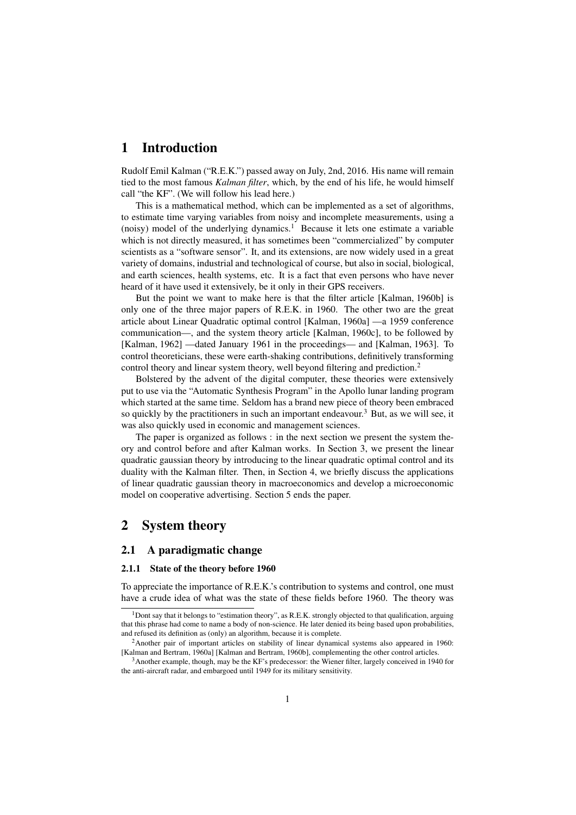## 1 Introduction

Rudolf Emil Kalman ("R.E.K.") passed away on July, 2nd, 2016. His name will remain tied to the most famous *Kalman filter*, which, by the end of his life, he would himself call "the KF". (We will follow his lead here.)

This is a mathematical method, which can be implemented as a set of algorithms, to estimate time varying variables from noisy and incomplete measurements, using a (noisy) model of the underlying dynamics.<sup>1</sup> Because it lets one estimate a variable which is not directly measured, it has sometimes been "commercialized" by computer scientists as a "software sensor". It, and its extensions, are now widely used in a great variety of domains, industrial and technological of course, but also in social, biological, and earth sciences, health systems, etc. It is a fact that even persons who have never heard of it have used it extensively, be it only in their GPS receivers.

But the point we want to make here is that the filter article [Kalman, 1960b] is only one of the three major papers of R.E.K. in 1960. The other two are the great article about Linear Quadratic optimal control [Kalman, 1960a] —a 1959 conference communication—, and the system theory article [Kalman, 1960c], to be followed by [Kalman, 1962] —dated January 1961 in the proceedings— and [Kalman, 1963]. To control theoreticians, these were earth-shaking contributions, definitively transforming control theory and linear system theory, well beyond filtering and prediction.<sup>2</sup>

Bolstered by the advent of the digital computer, these theories were extensively put to use via the "Automatic Synthesis Program" in the Apollo lunar landing program which started at the same time. Seldom has a brand new piece of theory been embraced so quickly by the practitioners in such an important endeavour.<sup>3</sup> But, as we will see, it was also quickly used in economic and management sciences.

The paper is organized as follows : in the next section we present the system theory and control before and after Kalman works. In Section 3, we present the linear quadratic gaussian theory by introducing to the linear quadratic optimal control and its duality with the Kalman filter. Then, in Section 4, we briefly discuss the applications of linear quadratic gaussian theory in macroeconomics and develop a microeconomic model on cooperative advertising. Section 5 ends the paper.

## 2 System theory

#### 2.1 A paradigmatic change

#### 2.1.1 State of the theory before 1960

To appreciate the importance of R.E.K.'s contribution to systems and control, one must have a crude idea of what was the state of these fields before 1960. The theory was

<sup>&</sup>lt;sup>1</sup>Dont say that it belongs to "estimation theory", as R.E.K. strongly objected to that qualification, arguing that this phrase had come to name a body of non-science. He later denied its being based upon probabilities, and refused its definition as (only) an algorithm, because it is complete.

<sup>2</sup>Another pair of important articles on stability of linear dynamical systems also appeared in 1960: [Kalman and Bertram, 1960a] [Kalman and Bertram, 1960b], complementing the other control articles.

<sup>3</sup>Another example, though, may be the KF's predecessor: the Wiener filter, largely conceived in 1940 for the anti-aircraft radar, and embargoed until 1949 for its military sensitivity.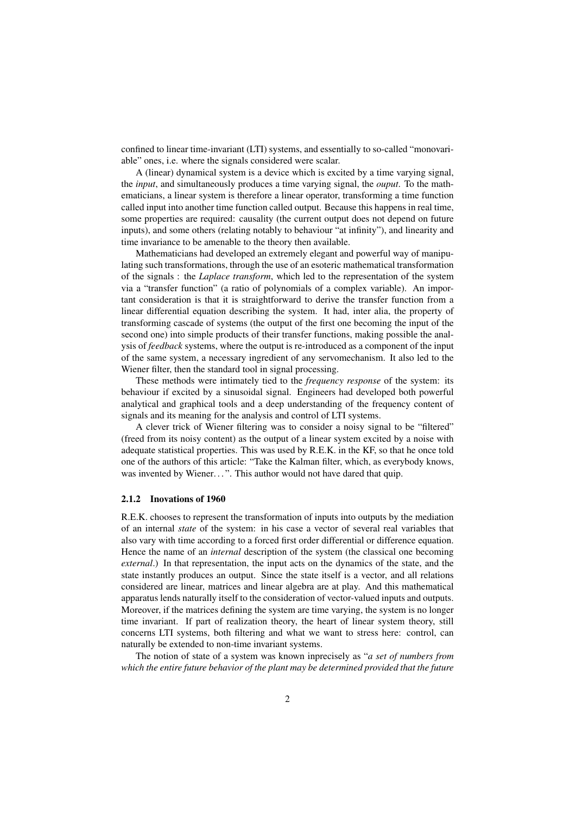confined to linear time-invariant (LTI) systems, and essentially to so-called "monovariable" ones, i.e. where the signals considered were scalar.

A (linear) dynamical system is a device which is excited by a time varying signal, the *input*, and simultaneously produces a time varying signal, the *ouput*. To the mathematicians, a linear system is therefore a linear operator, transforming a time function called input into another time function called output. Because this happens in real time, some properties are required: causality (the current output does not depend on future inputs), and some others (relating notably to behaviour "at infinity"), and linearity and time invariance to be amenable to the theory then available.

Mathematicians had developed an extremely elegant and powerful way of manipulating such transformations, through the use of an esoteric mathematical transformation of the signals : the *Laplace transform*, which led to the representation of the system via a "transfer function" (a ratio of polynomials of a complex variable). An important consideration is that it is straightforward to derive the transfer function from a linear differential equation describing the system. It had, inter alia, the property of transforming cascade of systems (the output of the first one becoming the input of the second one) into simple products of their transfer functions, making possible the analysis of *feedback* systems, where the output is re-introduced as a component of the input of the same system, a necessary ingredient of any servomechanism. It also led to the Wiener filter, then the standard tool in signal processing.

These methods were intimately tied to the *frequency response* of the system: its behaviour if excited by a sinusoidal signal. Engineers had developed both powerful analytical and graphical tools and a deep understanding of the frequency content of signals and its meaning for the analysis and control of LTI systems.

A clever trick of Wiener filtering was to consider a noisy signal to be "filtered" (freed from its noisy content) as the output of a linear system excited by a noise with adequate statistical properties. This was used by R.E.K. in the KF, so that he once told one of the authors of this article: "Take the Kalman filter, which, as everybody knows, was invented by Wiener...". This author would not have dared that quip.

#### 2.1.2 Inovations of 1960

R.E.K. chooses to represent the transformation of inputs into outputs by the mediation of an internal *state* of the system: in his case a vector of several real variables that also vary with time according to a forced first order differential or difference equation. Hence the name of an *internal* description of the system (the classical one becoming *external*.) In that representation, the input acts on the dynamics of the state, and the state instantly produces an output. Since the state itself is a vector, and all relations considered are linear, matrices and linear algebra are at play. And this mathematical apparatus lends naturally itself to the consideration of vector-valued inputs and outputs. Moreover, if the matrices defining the system are time varying, the system is no longer time invariant. If part of realization theory, the heart of linear system theory, still concerns LTI systems, both filtering and what we want to stress here: control, can naturally be extended to non-time invariant systems.

The notion of state of a system was known inprecisely as "*a set of numbers from which the entire future behavior of the plant may be determined provided that the future*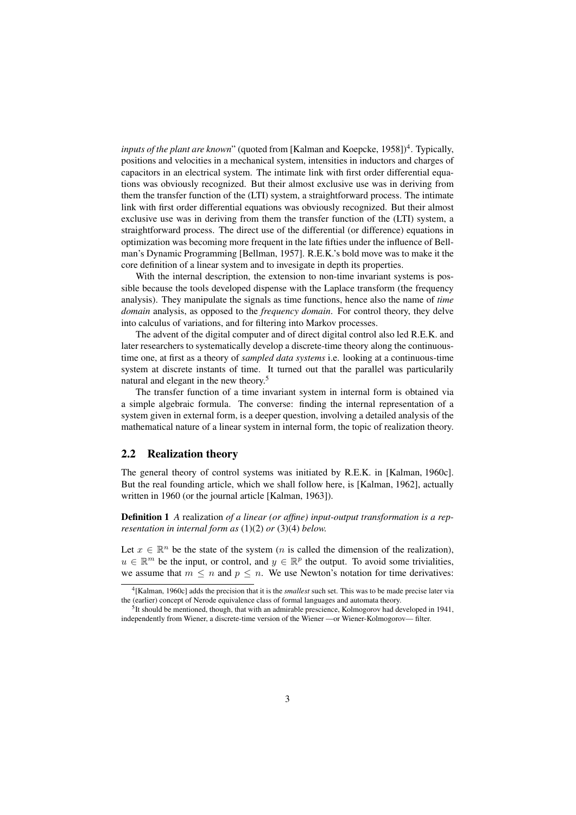inputs of the plant are known" (quoted from [Kalman and Koepcke, 1958])<sup>4</sup>. Typically, positions and velocities in a mechanical system, intensities in inductors and charges of capacitors in an electrical system. The intimate link with first order differential equations was obviously recognized. But their almost exclusive use was in deriving from them the transfer function of the (LTI) system, a straightforward process. The intimate link with first order differential equations was obviously recognized. But their almost exclusive use was in deriving from them the transfer function of the (LTI) system, a straightforward process. The direct use of the differential (or difference) equations in optimization was becoming more frequent in the late fifties under the influence of Bellman's Dynamic Programming [Bellman, 1957]. R.E.K.'s bold move was to make it the core definition of a linear system and to invesigate in depth its properties.

With the internal description, the extension to non-time invariant systems is possible because the tools developed dispense with the Laplace transform (the frequency analysis). They manipulate the signals as time functions, hence also the name of *time domain* analysis, as opposed to the *frequency domain*. For control theory, they delve into calculus of variations, and for filtering into Markov processes.

The advent of the digital computer and of direct digital control also led R.E.K. and later researchers to systematically develop a discrete-time theory along the continuoustime one, at first as a theory of *sampled data systems* i.e. looking at a continuous-time system at discrete instants of time. It turned out that the parallel was particularily natural and elegant in the new theory.<sup>5</sup>

The transfer function of a time invariant system in internal form is obtained via a simple algebraic formula. The converse: finding the internal representation of a system given in external form, is a deeper question, involving a detailed analysis of the mathematical nature of a linear system in internal form, the topic of realization theory.

#### 2.2 Realization theory

The general theory of control systems was initiated by R.E.K. in [Kalman, 1960c]. But the real founding article, which we shall follow here, is [Kalman, 1962], actually written in 1960 (or the journal article [Kalman, 1963]).

Definition 1 *A* realization *of a linear (or affine) input-output transformation is a representation in internal form as* (1)(2) *or* (3)(4) *below.*

Let  $x \in \mathbb{R}^n$  be the state of the system (*n* is called the dimension of the realization),  $u \in \mathbb{R}^m$  be the input, or control, and  $y \in \mathbb{R}^p$  the output. To avoid some trivialities, we assume that  $m \leq n$  and  $p \leq n$ . We use Newton's notation for time derivatives:

<sup>4</sup> [Kalman, 1960c] adds the precision that it is the *smallest* such set. This was to be made precise later via the (earlier) concept of Nerode equivalence class of formal languages and automata theory.

 $<sup>5</sup>$ It should be mentioned, though, that with an admirable prescience, Kolmogorov had developed in 1941,</sup> independently from Wiener, a discrete-time version of the Wiener —or Wiener-Kolmogorov— filter.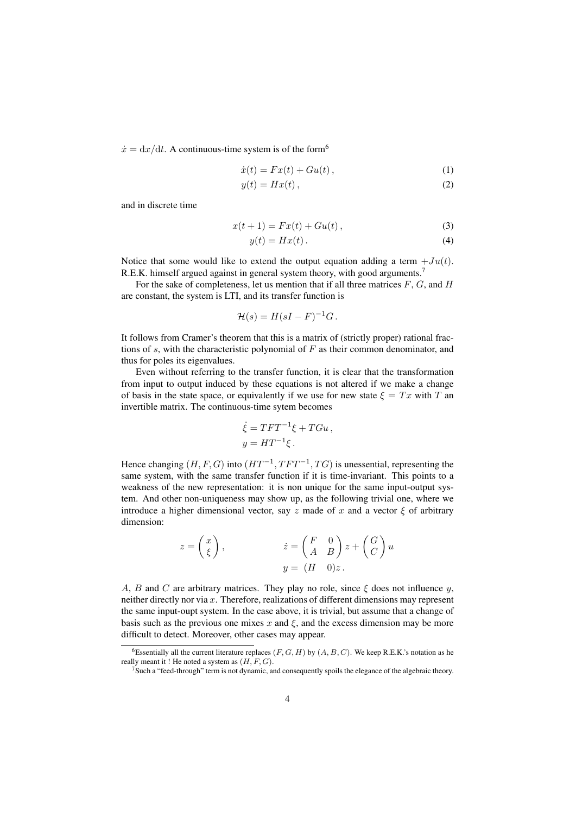$\dot{x} = dx/dt$ . A continuous-time system is of the form<sup>6</sup>

$$
\dot{x}(t) = Fx(t) + Gu(t), \qquad (1)
$$

$$
y(t) = Hx(t), \tag{2}
$$

and in discrete time

$$
x(t+1) = Fx(t) + Gu(t),
$$
\n(3)

$$
y(t) = Hx(t). \tag{4}
$$

Notice that some would like to extend the output equation adding a term  $+Ju(t)$ . R.E.K. himself argued against in general system theory, with good arguments.<sup>7</sup>

For the sake of completeness, let us mention that if all three matrices  $F, G$ , and  $H$ are constant, the system is LTI, and its transfer function is

$$
\mathcal{H}(s) = H(sI - F)^{-1}G.
$$

It follows from Cramer's theorem that this is a matrix of (strictly proper) rational fractions of  $s$ , with the characteristic polynomial of  $F$  as their common denominator, and thus for poles its eigenvalues.

Even without referring to the transfer function, it is clear that the transformation from input to output induced by these equations is not altered if we make a change of basis in the state space, or equivalently if we use for new state  $\xi = Tx$  with T an invertible matrix. The continuous-time sytem becomes

$$
\dot{\xi} = TFT^{-1}\xi + TGu,
$$
  

$$
y = HT^{-1}\xi.
$$

Hence changing  $(H, F, G)$  into  $(HT^{-1}, TFT^{-1}, TG)$  is unessential, representing the same system, with the same transfer function if it is time-invariant. This points to a weakness of the new representation: it is non unique for the same input-output system. And other non-uniqueness may show up, as the following trivial one, where we introduce a higher dimensional vector, say z made of x and a vector  $\xi$  of arbitrary dimension:

$$
z = \begin{pmatrix} x \\ \xi \end{pmatrix}, \qquad \qquad \dot{z} = \begin{pmatrix} F & 0 \\ A & B \end{pmatrix} z + \begin{pmatrix} G \\ C \end{pmatrix} u
$$

$$
y = (H \quad 0)z.
$$

A, B and C are arbitrary matrices. They play no role, since  $\xi$  does not influence y, neither directly nor via x. Therefore, realizations of different dimensions may represent the same input-oupt system. In the case above, it is trivial, but assume that a change of basis such as the previous one mixes  $x$  and  $\xi$ , and the excess dimension may be more difficult to detect. Moreover, other cases may appear.

<sup>&</sup>lt;sup>6</sup>Essentially all the current literature replaces  $(F, G, H)$  by  $(A, B, C)$ . We keep R.E.K.'s notation as he really meant it ! He noted a system as  $(H, F, G)$ .

 $7$ Such a "feed-through" term is not dynamic, and consequently spoils the elegance of the algebraic theory.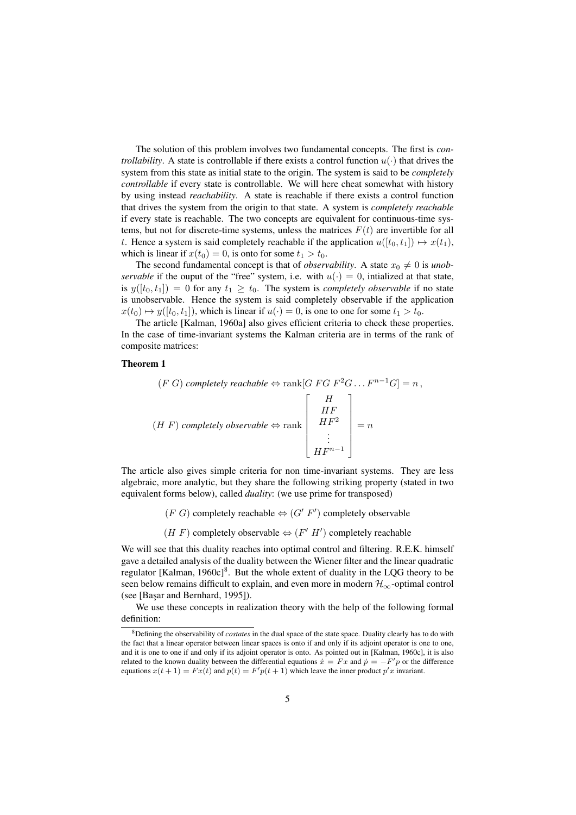The solution of this problem involves two fundamental concepts. The first is *controllability*. A state is controllable if there exists a control function  $u(\cdot)$  that drives the system from this state as initial state to the origin. The system is said to be *completely controllable* if every state is controllable. We will here cheat somewhat with history by using instead *reachability*. A state is reachable if there exists a control function that drives the system from the origin to that state. A system is *completely reachable* if every state is reachable. The two concepts are equivalent for continuous-time systems, but not for discrete-time systems, unless the matrices  $F(t)$  are invertible for all t. Hence a system is said completely reachable if the application  $u([t_0, t_1]) \mapsto x(t_1)$ , which is linear if  $x(t_0) = 0$ , is onto for some  $t_1 > t_0$ .

The second fundamental concept is that of *observability*. A state  $x_0 \neq 0$  is *unobservable* if the ouput of the "free" system, i.e. with  $u(\cdot) = 0$ , intialized at that state, is  $y([t_0, t_1]) = 0$  for any  $t_1 \geq t_0$ . The system is *completely observable* if no state is unobservable. Hence the system is said completely observable if the application  $x(t_0) \mapsto y([t_0, t_1]),$  which is linear if  $u(\cdot) = 0$ , is one to one for some  $t_1 > t_0$ .

The article [Kalman, 1960a] also gives efficient criteria to check these properties. In the case of time-invariant systems the Kalman criteria are in terms of the rank of composite matrices:

#### Theorem 1

$$
(F\ G)\ completely\ reachable \Leftrightarrow \operatorname{rank}[G\ FG\ F^2G\ \dots\ F^{n-1}G] = n,
$$
  

$$
(H\ F)\ completely\ observable \Leftrightarrow \operatorname{rank}\left[\begin{array}{c}H\\HF\\HF^2\\H\ F^2\\ \vdots\\H\ F^{n-1}\end{array}\right] = n
$$

The article also gives simple criteria for non time-invariant systems. They are less algebraic, more analytic, but they share the following striking property (stated in two equivalent forms below), called *duality*: (we use prime for transposed)

- $(F \ G)$  completely reachable  $\Leftrightarrow (G' \ F')$  completely observable
- $(H F)$  completely observable  $\Leftrightarrow (F' H')$  completely reachable

We will see that this duality reaches into optimal control and filtering. R.E.K. himself gave a detailed analysis of the duality between the Wiener filter and the linear quadratic regulator [Kalman, 1960c]<sup>8</sup>. But the whole extent of duality in the LQG theory to be seen below remains difficult to explain, and even more in modern  $\mathcal{H}_{\infty}$ -optimal control (see [Başar and Bernhard, 1995]).

We use these concepts in realization theory with the help of the following formal definition:

<sup>8</sup>Defining the observability of *costates* in the dual space of the state space. Duality clearly has to do with the fact that a linear operator between linear spaces is onto if and only if its adjoint operator is one to one, and it is one to one if and only if its adjoint operator is onto. As pointed out in [Kalman, 1960c], it is also related to the known duality between the differential equations  $x = Fx$  and  $p = -F'p$  or the difference equations  $x(t+1) = Fx(t)$  and  $p(t) = F'p(t+1)$  which leave the inner product  $p'x$  invariant.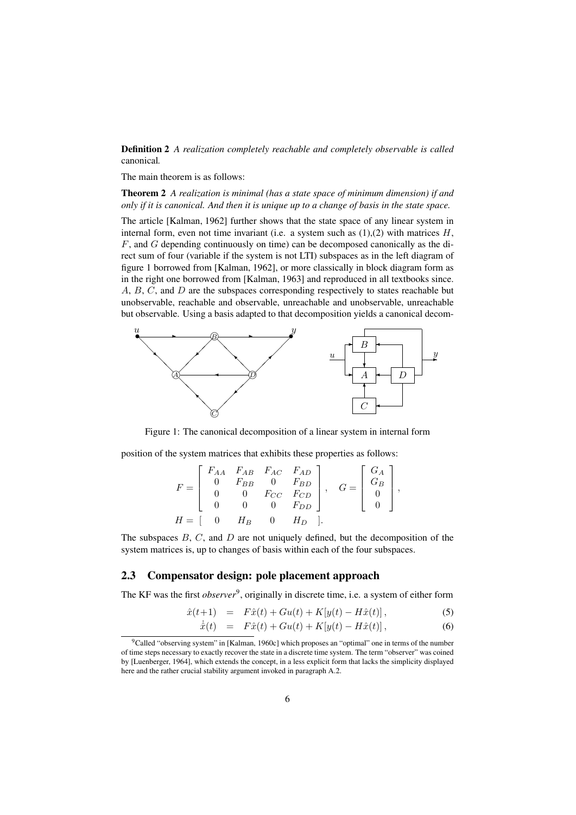Definition 2 *A realization completely reachable and completely observable is called* canonical*.*

The main theorem is as follows:

Theorem 2 *A realization is minimal (has a state space of minimum dimension) if and only if it is canonical. And then it is unique up to a change of basis in the state space.*

The article [Kalman, 1962] further shows that the state space of any linear system in internal form, even not time invariant (i.e. a system such as  $(1),(2)$  with matrices  $H$ ,  $F$ , and  $G$  depending continuously on time) can be decomposed canonically as the direct sum of four (variable if the system is not LTI) subspaces as in the left diagram of figure 1 borrowed from [Kalman, 1962], or more classically in block diagram form as in the right one borrowed from [Kalman, 1963] and reproduced in all textbooks since. A, B, C, and D are the subspaces corresponding respectively to states reachable but unobservable, reachable and observable, unreachable and unobservable, unreachable but observable. Using a basis adapted to that decomposition yields a canonical decom-



Figure 1: The canonical decomposition of a linear system in internal form

position of the system matrices that exhibits these properties as follows:

$$
F = \begin{bmatrix} F_{AA} & F_{AB} & F_{AC} & F_{AD} \\ 0 & F_{BB} & 0 & F_{BD} \\ 0 & 0 & F_{CC} & F_{CD} \\ 0 & 0 & 0 & F_{DD} \end{bmatrix}, \quad G = \begin{bmatrix} G_A \\ G_B \\ 0 \\ 0 \end{bmatrix},
$$
  

$$
H = \begin{bmatrix} 0 & H_B & 0 & H_D \end{bmatrix}.
$$

The subspaces  $B, C$ , and  $D$  are not uniquely defined, but the decomposition of the system matrices is, up to changes of basis within each of the four subspaces.

#### 2.3 Compensator design: pole placement approach

The KF was the first *observer*<sup>9</sup>, originally in discrete time, i.e. a system of either form

$$
\hat{x}(t+1) = F\hat{x}(t) + Gu(t) + K[y(t) - H\hat{x}(t)],
$$
\n(5)

$$
\dot{\hat{x}}(t) = F\hat{x}(t) + Gu(t) + K[y(t) - H\hat{x}(t)],
$$
\n(6)

<sup>&</sup>lt;sup>9</sup>Called "observing system" in [Kalman, 1960c] which proposes an "optimal" one in terms of the number of time steps necessary to exactly recover the state in a discrete time system. The term "observer" was coined by [Luenberger, 1964], which extends the concept, in a less explicit form that lacks the simplicity displayed here and the rather crucial stability argument invoked in paragraph A.2.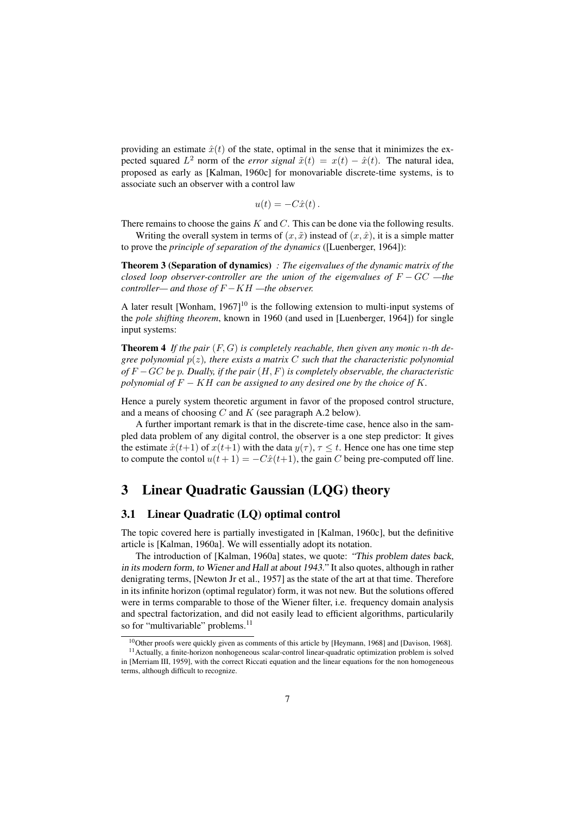providing an estimate  $\hat{x}(t)$  of the state, optimal in the sense that it minimizes the expected squared  $L^2$  norm of the *error signal*  $\tilde{x}(t) = x(t) - \hat{x}(t)$ . The natural idea, proposed as early as [Kalman, 1960c] for monovariable discrete-time systems, is to associate such an observer with a control law

$$
u(t) = -C\hat{x}(t).
$$

There remains to choose the gains  $K$  and  $C$ . This can be done via the following results.

Writing the overall system in terms of  $(x, \tilde{x})$  instead of  $(x, \hat{x})$ , it is a simple matter to prove the *principle of separation of the dynamics* ([Luenberger, 1964]):

Theorem 3 (Separation of dynamics) *: The eigenvalues of the dynamic matrix of the closed loop observer-controller are the union of the eigenvalues of* F − GC *—the controller— and those of* F −KH *—the observer.*

A later result [Wonham,  $1967$ ]<sup>10</sup> is the following extension to multi-input systems of the *pole shifting theorem*, known in 1960 (and used in [Luenberger, 1964]) for single input systems:

**Theorem 4** If the pair  $(F, G)$  is completely reachable, then given any monic n-th de*gree polynomial* p(z)*, there exists a matrix* C *such that the characteristic polynomial of* F −GC *be* p*. Dually, if the pair* (H, F) *is completely observable, the characteristic polynomial of*  $F - KH$  *can be assigned to any desired one by the choice of* K.

Hence a purely system theoretic argument in favor of the proposed control structure, and a means of choosing  $C$  and  $K$  (see paragraph A.2 below).

A further important remark is that in the discrete-time case, hence also in the sampled data problem of any digital control, the observer is a one step predictor: It gives the estimate  $\hat{x}(t+1)$  of  $x(t+1)$  with the data  $y(\tau)$ ,  $\tau \leq t$ . Hence one has one time step to compute the contol  $u(t + 1) = -C\hat{x}(t+1)$ , the gain C being pre-computed off line.

## 3 Linear Quadratic Gaussian (LQG) theory

#### 3.1 Linear Quadratic (LQ) optimal control

The topic covered here is partially investigated in [Kalman, 1960c], but the definitive article is [Kalman, 1960a]. We will essentially adopt its notation.

The introduction of [Kalman, 1960a] states, we quote: "This problem dates back, in its modern form, to Wiener and Hall at about 1943." It also quotes, although in rather denigrating terms, [Newton Jr et al., 1957] as the state of the art at that time. Therefore in its infinite horizon (optimal regulator) form, it was not new. But the solutions offered were in terms comparable to those of the Wiener filter, i.e. frequency domain analysis and spectral factorization, and did not easily lead to efficient algorithms, particularily so for "multivariable" problems.<sup>11</sup>

<sup>10</sup>Other proofs were quickly given as comments of this article by [Heymann, 1968] and [Davison, 1968].

<sup>&</sup>lt;sup>11</sup> Actually, a finite-horizon nonhogeneous scalar-control linear-quadratic optimization problem is solved in [Merriam III, 1959], with the correct Riccati equation and the linear equations for the non homogeneous terms, although difficult to recognize.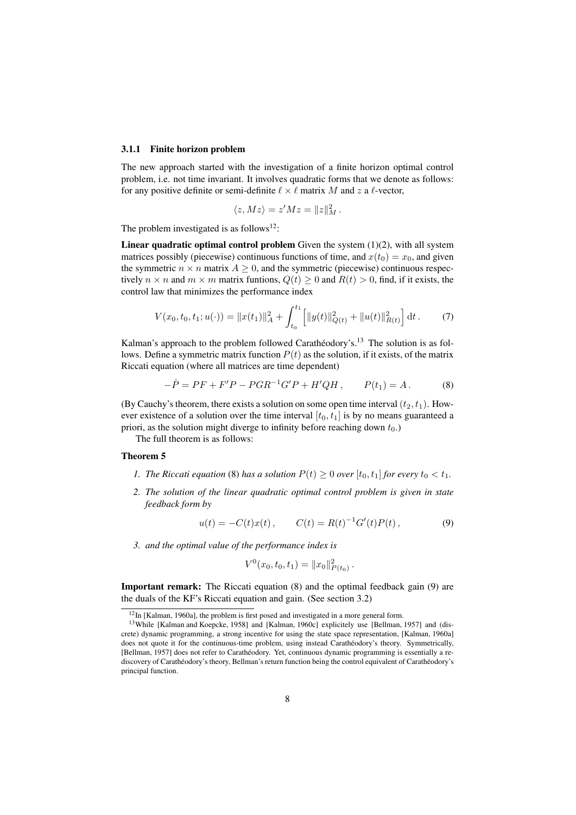#### 3.1.1 Finite horizon problem

The new approach started with the investigation of a finite horizon optimal control problem, i.e. not time invariant. It involves quadratic forms that we denote as follows: for any positive definite or semi-definite  $\ell \times \ell$  matrix M and z a  $\ell$ -vector,

$$
\langle z, Mz \rangle = z'Mz = ||z||_M^2.
$$

The problem investigated is as follows<sup>12</sup>:

**Linear quadratic optimal control problem** Given the system  $(1)(2)$ , with all system matrices possibly (piecewise) continuous functions of time, and  $x(t_0) = x_0$ , and given the symmetric  $n \times n$  matrix  $A \geq 0$ , and the symmetric (piecewise) continuous respectively  $n \times n$  and  $m \times m$  matrix funtions,  $Q(t) \geq 0$  and  $R(t) > 0$ , find, if it exists, the control law that minimizes the performance index

$$
V(x_0, t_0, t_1; u(\cdot)) = ||x(t_1)||_A^2 + \int_{t_0}^{t_1} \left[ ||y(t)||_{Q(t)}^2 + ||u(t)||_{R(t)}^2 \right] dt.
$$
 (7)

Kalman's approach to the problem followed Carathéodory's.<sup>13</sup> The solution is as follows. Define a symmetric matrix function  $P(t)$  as the solution, if it exists, of the matrix Riccati equation (where all matrices are time dependent)

$$
-\dot{P} = PF + F'P - PGR^{-1}G'P + H'QH, \qquad P(t_1) = A. \tag{8}
$$

(By Cauchy's theorem, there exists a solution on some open time interval  $(t_2, t_1)$ ). However existence of a solution over the time interval  $[t_0, t_1]$  is by no means guaranteed a priori, as the solution might diverge to infinity before reaching down  $t_0$ .)

The full theorem is as follows:

#### Theorem 5

- *1. The Riccati equation* (8) *has a solution*  $P(t) > 0$  *over*  $[t_0, t_1]$  *for every*  $t_0 < t_1$ *.*
- *2. The solution of the linear quadratic optimal control problem is given in state feedback form by*

$$
u(t) = -C(t)x(t), \t C(t) = R(t)^{-1}G'(t)P(t), \t (9)
$$

*3. and the optimal value of the performance index is*

$$
V^0(x_0, t_0, t_1) = ||x_0||^2_{P(t_0)}.
$$

Important remark: The Riccati equation (8) and the optimal feedback gain (9) are the duals of the KF's Riccati equation and gain. (See section 3.2)

<sup>12</sup>In [Kalman, 1960a], the problem is first posed and investigated in a more general form.

<sup>&</sup>lt;sup>13</sup>While [Kalman and Koepcke, 1958] and [Kalman, 1960c] explicitely use [Bellman, 1957] and (discrete) dynamic programming, a strong incentive for using the state space representation, [Kalman, 1960a] does not quote it for the continuous-time problem, using instead Carathéodory's theory. Symmetrically, [Bellman, 1957] does not refer to Caratheodory. Yet, continuous dynamic programming is essentially a re- ´ discovery of Carathéodory's theory, Bellman's return function being the control equivalent of Carathéodory's principal function.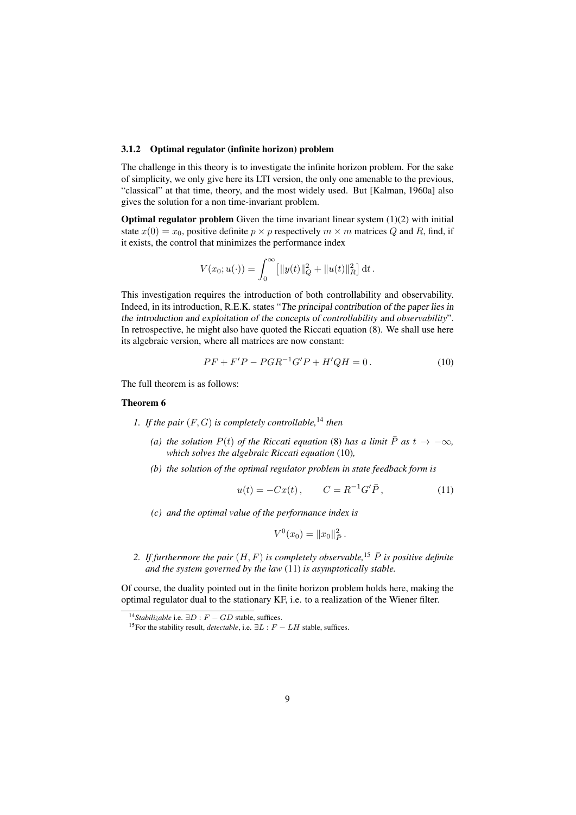#### 3.1.2 Optimal regulator (infinite horizon) problem

The challenge in this theory is to investigate the infinite horizon problem. For the sake of simplicity, we only give here its LTI version, the only one amenable to the previous, "classical" at that time, theory, and the most widely used. But [Kalman, 1960a] also gives the solution for a non time-invariant problem.

**Optimal regulator problem** Given the time invariant linear system  $(1)(2)$  with initial state  $x(0) = x_0$ , positive definite  $p \times p$  respectively  $m \times m$  matrices Q and R, find, if it exists, the control that minimizes the performance index

$$
V(x_0; u(\cdot)) = \int_0^\infty [||y(t)||_Q^2 + ||u(t)||_R^2] dt.
$$

This investigation requires the introduction of both controllability and observability. Indeed, in its introduction, R.E.K. states "The principal contribution of the paper lies in the introduction and exploitation of the concepts of *controllability* and *observability*". In retrospective, he might also have quoted the Riccati equation (8). We shall use here its algebraic version, where all matrices are now constant:

$$
PF + F'P - PGR^{-1}G'P + H'QH = 0.
$$
 (10)

The full theorem is as follows:

#### Theorem 6

- *1. If the pair* (F, G) *is completely controllable,*<sup>14</sup> *then*
	- *(a) the solution*  $P(t)$  *of the Riccati equation* (8) *has a limit*  $\overline{P}$  *as*  $t \rightarrow -\infty$ *, which solves the algebraic Riccati equation* (10)*,*
	- *(b) the solution of the optimal regulator problem in state feedback form is*

$$
u(t) = -Cx(t) , \t C = R^{-1}G'\bar{P} , \t (11)
$$

*(c) and the optimal value of the performance index is*

$$
V^0(x_0) = ||x_0||_P^2.
$$

2. If furthermore the pair  $(H, F)$  is completely observable,<sup>15</sup>  $\overline{P}$  is positive definite *and the system governed by the law* (11) *is asymptotically stable.*

Of course, the duality pointed out in the finite horizon problem holds here, making the optimal regulator dual to the stationary KF, i.e. to a realization of the Wiener filter.

<sup>&</sup>lt;sup>14</sup>*Stabilizable* i.e.  $\exists D : F - GD$  stable, suffices.

<sup>&</sup>lt;sup>15</sup>For the stability result, *detectable*, i.e.  $\exists L : F - LH$  stable, suffices.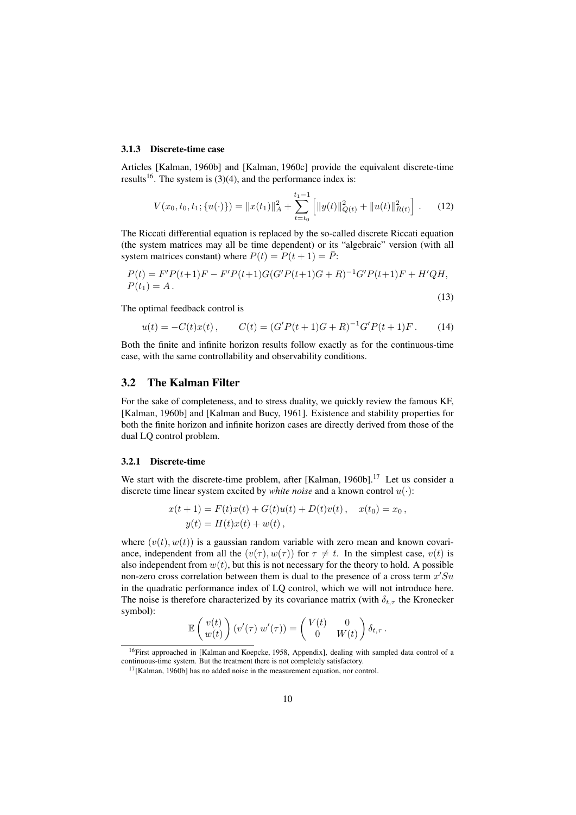#### 3.1.3 Discrete-time case

Articles [Kalman, 1960b] and [Kalman, 1960c] provide the equivalent discrete-time results<sup>16</sup>. The system is  $(3)(4)$ , and the performance index is:

$$
V(x_0, t_0, t_1; \{u(\cdot)\}) = ||x(t_1)||_A^2 + \sum_{t=t_0}^{t_1-1} \left[ ||y(t)||_{Q(t)}^2 + ||u(t)||_{R(t)}^2 \right].
$$
 (12)

The Riccati differential equation is replaced by the so-called discrete Riccati equation (the system matrices may all be time dependent) or its "algebraic" version (with all system matrices constant) where  $P(t) = P(t + 1) = \overline{P}$ :

$$
P(t) = F'P(t+1)F - F'P(t+1)G(G'P(t+1)G + R)^{-1}G'P(t+1)F + H'QH,
$$
  
\n
$$
P(t_1) = A.
$$
\n(13)

The optimal feedback control is

$$
u(t) = -C(t)x(t), \qquad C(t) = (G'P(t+1)G + R)^{-1}G'P(t+1)F. \tag{14}
$$

Both the finite and infinite horizon results follow exactly as for the continuous-time case, with the same controllability and observability conditions.

#### 3.2 The Kalman Filter

For the sake of completeness, and to stress duality, we quickly review the famous KF, [Kalman, 1960b] and [Kalman and Bucy, 1961]. Existence and stability properties for both the finite horizon and infinite horizon cases are directly derived from those of the dual LQ control problem.

#### 3.2.1 Discrete-time

We start with the discrete-time problem, after [Kalman, 1960b].<sup>17</sup> Let us consider a discrete time linear system excited by *white noise* and a known control  $u(\cdot)$ :

$$
x(t+1) = F(t)x(t) + G(t)u(t) + D(t)v(t), \quad x(t_0) = x_0,
$$
  

$$
y(t) = H(t)x(t) + w(t),
$$

where  $(v(t), w(t))$  is a gaussian random variable with zero mean and known covariance, independent from all the  $(v(\tau), w(\tau))$  for  $\tau \neq t$ . In the simplest case,  $v(t)$  is also independent from  $w(t)$ , but this is not necessary for the theory to hold. A possible non-zero cross correlation between them is dual to the presence of a cross term  $x'Su$ in the quadratic performance index of LQ control, which we will not introduce here. The noise is therefore characterized by its covariance matrix (with  $\delta_{t,\tau}$  the Kronecker symbol):

$$
\mathbb{E}\left(\begin{array}{c}v(t)\\w(t)\end{array}\right)(v'(\tau)\,w'(\tau))=\left(\begin{array}{cc}V(t)&0\\0&W(t)\end{array}\right)\delta_{t,\tau}.
$$

<sup>&</sup>lt;sup>16</sup>First approached in [Kalman and Koepcke, 1958, Appendix], dealing with sampled data control of a continuous-time system. But the treatment there is not completely satisfactory.

<sup>&</sup>lt;sup>17</sup>[Kalman, 1960b] has no added noise in the measurement equation, nor control.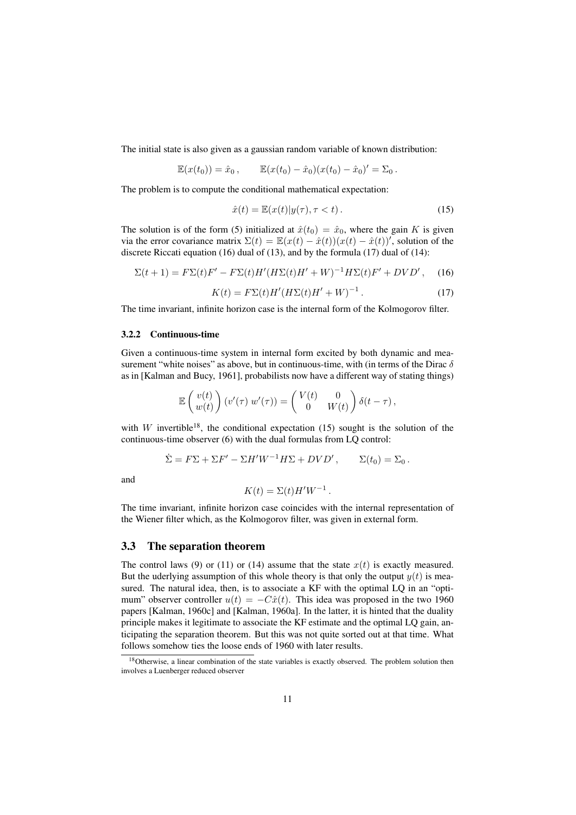The initial state is also given as a gaussian random variable of known distribution:

$$
\mathbb{E}(x(t_0)) = \hat{x}_0, \qquad \mathbb{E}(x(t_0) - \hat{x}_0)(x(t_0) - \hat{x}_0)' = \Sigma_0.
$$

The problem is to compute the conditional mathematical expectation:

$$
\hat{x}(t) = \mathbb{E}(x(t)|y(\tau), \tau < t).
$$
\n(15)

The solution is of the form (5) initialized at  $\hat{x}(t_0) = \hat{x}_0$ , where the gain K is given via the error covariance matrix  $\Sigma(t) = \mathbb{E}(x(t) - \hat{x}(t))(x(t) - \hat{x}(t))'$ , solution of the discrete Riccati equation (16) dual of (13), and by the formula (17) dual of (14):

$$
\Sigma(t+1) = F\Sigma(t)F' - F\Sigma(t)H'(H\Sigma(t)H' + W)^{-1}H\Sigma(t)F' + DVD', \quad (16)
$$

$$
K(t) = F\Sigma(t)H'(H\Sigma(t)H' + W)^{-1}.
$$
 (17)

The time invariant, infinite horizon case is the internal form of the Kolmogorov filter.

#### 3.2.2 Continuous-time

Given a continuous-time system in internal form excited by both dynamic and measurement "white noises" as above, but in continuous-time, with (in terms of the Dirac  $\delta$ as in [Kalman and Bucy, 1961], probabilists now have a different way of stating things)

$$
\mathbb{E}\left(\begin{array}{c}v(t)\\w(t)\end{array}\right)(v'(\tau)\ w'(\tau))=\left(\begin{array}{cc}V(t)&0\\0&W(t)\end{array}\right)\delta(t-\tau)\,,
$$

with W invertible<sup>18</sup>, the conditional expectation (15) sought is the solution of the continuous-time observer (6) with the dual formulas from LQ control:

$$
\dot{\Sigma} = F\Sigma + \Sigma F' - \Sigma H' W^{-1} H \Sigma + DVD', \qquad \Sigma(t_0) = \Sigma_0.
$$

and

$$
K(t) = \Sigma(t)H'W^{-1}.
$$

The time invariant, infinite horizon case coincides with the internal representation of the Wiener filter which, as the Kolmogorov filter, was given in external form.

#### 3.3 The separation theorem

The control laws (9) or (11) or (14) assume that the state  $x(t)$  is exactly measured. But the uderlying assumption of this whole theory is that only the output  $y(t)$  is measured. The natural idea, then, is to associate a KF with the optimal LQ in an "optimum" observer controller  $u(t) = -C\hat{x}(t)$ . This idea was proposed in the two 1960 papers [Kalman, 1960c] and [Kalman, 1960a]. In the latter, it is hinted that the duality principle makes it legitimate to associate the KF estimate and the optimal LQ gain, anticipating the separation theorem. But this was not quite sorted out at that time. What follows somehow ties the loose ends of 1960 with later results.

<sup>&</sup>lt;sup>18</sup>Otherwise, a linear combination of the state variables is exactly observed. The problem solution then involves a Luenberger reduced observer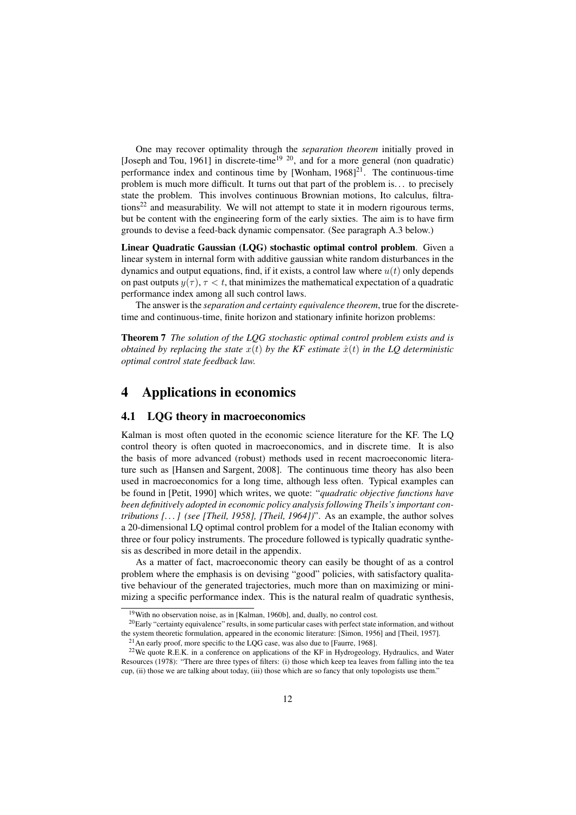One may recover optimality through the *separation theorem* initially proved in [Joseph and Tou, 1961] in discrete-time<sup>19 20</sup>, and for a more general (non quadratic) performance index and continous time by [Wonham,  $1968$ ]<sup>21</sup>. The continuous-time problem is much more difficult. It turns out that part of the problem is. . . to precisely state the problem. This involves continuous Brownian motions, Ito calculus, filtra $tions<sup>22</sup>$  and measurability. We will not attempt to state it in modern rigourous terms, but be content with the engineering form of the early sixties. The aim is to have firm grounds to devise a feed-back dynamic compensator. (See paragraph A.3 below.)

Linear Quadratic Gaussian (LQG) stochastic optimal control problem. Given a linear system in internal form with additive gaussian white random disturbances in the dynamics and output equations, find, if it exists, a control law where  $u(t)$  only depends on past outputs  $y(\tau)$ ,  $\tau < t$ , that minimizes the mathematical expectation of a quadratic performance index among all such control laws.

The answer is the *separation and certainty equivalence theorem*, true for the discretetime and continuous-time, finite horizon and stationary infinite horizon problems:

Theorem 7 *The solution of the LQG stochastic optimal control problem exists and is obtained by replacing the state*  $x(t)$  *by the KF estimate*  $\hat{x}(t)$  *in the LQ deterministic optimal control state feedback law.*

## 4 Applications in economics

#### 4.1 LQG theory in macroeconomics

Kalman is most often quoted in the economic science literature for the KF. The LQ control theory is often quoted in macroeconomics, and in discrete time. It is also the basis of more advanced (robust) methods used in recent macroeconomic literature such as [Hansen and Sargent, 2008]. The continuous time theory has also been used in macroeconomics for a long time, although less often. Typical examples can be found in [Petit, 1990] which writes, we quote: "*quadratic objective functions have been definitively adopted in economic policy analysis following Theils's important contributions [. . . ] (see [Theil, 1958], [Theil, 1964])*". As an example, the author solves a 20-dimensional LQ optimal control problem for a model of the Italian economy with three or four policy instruments. The procedure followed is typically quadratic synthesis as described in more detail in the appendix.

As a matter of fact, macroeconomic theory can easily be thought of as a control problem where the emphasis is on devising "good" policies, with satisfactory qualitative behaviour of the generated trajectories, much more than on maximizing or minimizing a specific performance index. This is the natural realm of quadratic synthesis,

<sup>&</sup>lt;sup>19</sup>With no observation noise, as in [Kalman, 1960b], and, dually, no control cost.

<sup>&</sup>lt;sup>20</sup>Early "certainty equivalence" results, in some particular cases with perfect state information, and without the system theoretic formulation, appeared in the economic literature: [Simon, 1956] and [Theil, 1957].

 $21$ An early proof, more specific to the LQG case, was also due to [Faurre, 1968].

<sup>&</sup>lt;sup>22</sup>We quote R.E.K. in a conference on applications of the KF in Hydrogeology, Hydraulics, and Water Resources (1978): "There are three types of filters: (i) those which keep tea leaves from falling into the tea cup, (ii) those we are talking about today, (iii) those which are so fancy that only topologists use them."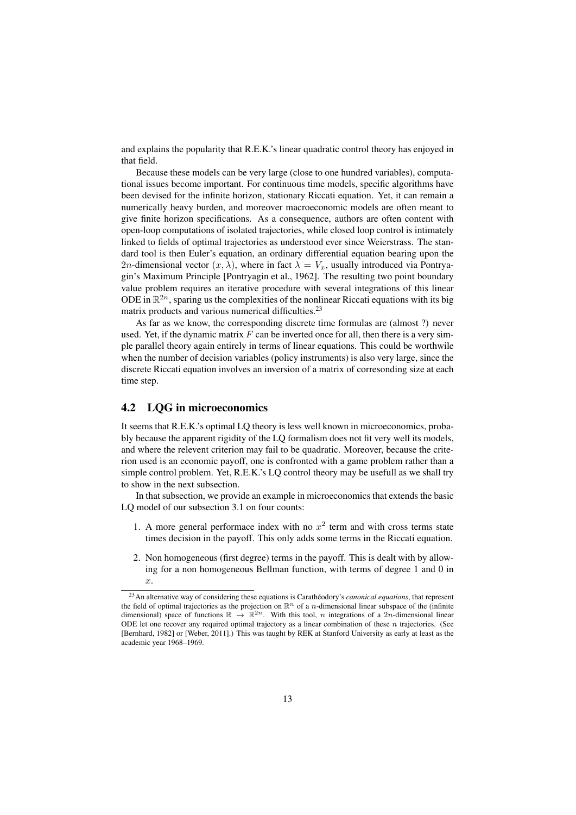and explains the popularity that R.E.K.'s linear quadratic control theory has enjoyed in that field.

Because these models can be very large (close to one hundred variables), computational issues become important. For continuous time models, specific algorithms have been devised for the infinite horizon, stationary Riccati equation. Yet, it can remain a numerically heavy burden, and moreover macroeconomic models are often meant to give finite horizon specifications. As a consequence, authors are often content with open-loop computations of isolated trajectories, while closed loop control is intimately linked to fields of optimal trajectories as understood ever since Weierstrass. The standard tool is then Euler's equation, an ordinary differential equation bearing upon the 2n-dimensional vector  $(x, \lambda)$ , where in fact  $\lambda = V_x$ , usually introduced via Pontryagin's Maximum Principle [Pontryagin et al., 1962]. The resulting two point boundary value problem requires an iterative procedure with several integrations of this linear ODE in  $\mathbb{R}^{2n}$ , sparing us the complexities of the nonlinear Riccati equations with its big matrix products and various numerical difficulties.<sup>23</sup>

As far as we know, the corresponding discrete time formulas are (almost ?) never used. Yet, if the dynamic matrix  $F$  can be inverted once for all, then there is a very simple parallel theory again entirely in terms of linear equations. This could be worthwile when the number of decision variables (policy instruments) is also very large, since the discrete Riccati equation involves an inversion of a matrix of corresonding size at each time step.

#### 4.2 LQG in microeconomics

It seems that R.E.K.'s optimal LQ theory is less well known in microeconomics, probably because the apparent rigidity of the LQ formalism does not fit very well its models, and where the relevent criterion may fail to be quadratic. Moreover, because the criterion used is an economic payoff, one is confronted with a game problem rather than a simple control problem. Yet, R.E.K.'s LQ control theory may be usefull as we shall try to show in the next subsection.

In that subsection, we provide an example in microeconomics that extends the basic LQ model of our subsection 3.1 on four counts:

- 1. A more general performace index with no  $x^2$  term and with cross terms state times decision in the payoff. This only adds some terms in the Riccati equation.
- 2. Non homogeneous (first degree) terms in the payoff. This is dealt with by allowing for a non homogeneous Bellman function, with terms of degree 1 and 0 in  $\hat{x}$ .

<sup>&</sup>lt;sup>23</sup>An alternative way of considering these equations is Carathéodory's *canonical equations*, that represent the field of optimal trajectories as the projection on  $\mathbb{R}^n$  of a *n*-dimensional linear subspace of the (infinite dimensional) space of functions  $\mathbb{R} \to \mathbb{R}^{2n}$ . With this tool, *n* integrations of a 2*n*-dimensional linear ODE let one recover any required optimal trajectory as a linear combination of these  $n$  trajectories. (See [Bernhard, 1982] or [Weber, 2011].) This was taught by REK at Stanford University as early at least as the academic year 1968–1969.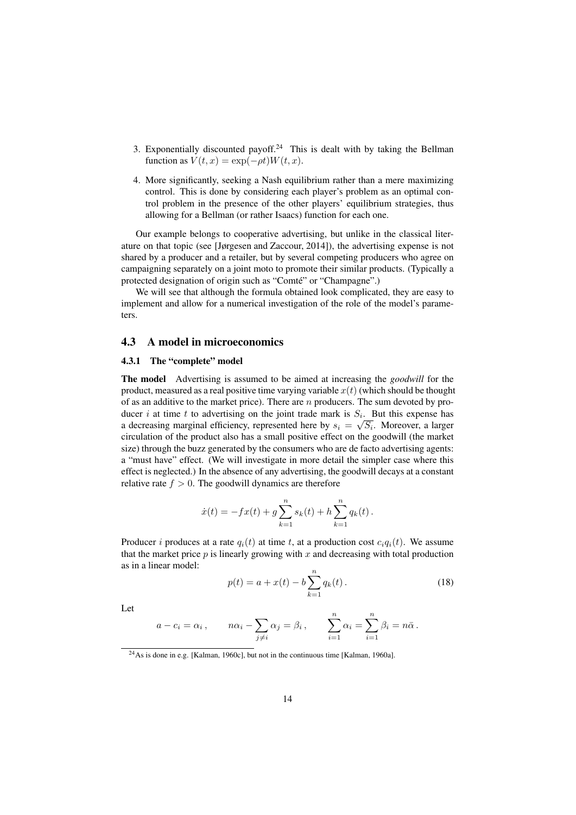- 3. Exponentially discounted payoff.<sup>24</sup> This is dealt with by taking the Bellman function as  $V(t, x) = \exp(-\rho t)W(t, x)$ .
- 4. More significantly, seeking a Nash equilibrium rather than a mere maximizing control. This is done by considering each player's problem as an optimal control problem in the presence of the other players' equilibrium strategies, thus allowing for a Bellman (or rather Isaacs) function for each one.

Our example belongs to cooperative advertising, but unlike in the classical literature on that topic (see [Jørgesen and Zaccour, 2014]), the advertising expense is not shared by a producer and a retailer, but by several competing producers who agree on campaigning separately on a joint moto to promote their similar products. (Typically a protected designation of origin such as "Comté" or "Champagne".)

We will see that although the formula obtained look complicated, they are easy to implement and allow for a numerical investigation of the role of the model's parameters.

#### 4.3 A model in microeconomics

#### 4.3.1 The "complete" model

The model Advertising is assumed to be aimed at increasing the *goodwill* for the product, measured as a real positive time varying variable  $x(t)$  (which should be thought of as an additive to the market price). There are  $n$  producers. The sum devoted by producer i at time t to advertising on the joint trade mark is  $S_i$ . But this expense has a decreasing marginal efficiency, represented here by  $s_i = \sqrt{S_i}$ . Moreover, a larger circulation of the product also has a small positive effect on the goodwill (the market size) through the buzz generated by the consumers who are de facto advertising agents: a "must have" effect. (We will investigate in more detail the simpler case where this effect is neglected.) In the absence of any advertising, the goodwill decays at a constant relative rate  $f > 0$ . The goodwill dynamics are therefore

$$
\dot{x}(t) = -fx(t) + g \sum_{k=1}^{n} s_k(t) + h \sum_{k=1}^{n} q_k(t).
$$

Producer i produces at a rate  $q_i(t)$  at time t, at a production cost  $c_iq_i(t)$ . We assume that the market price  $p$  is linearly growing with  $x$  and decreasing with total production as in a linear model:

$$
p(t) = a + x(t) - b \sum_{k=1}^{n} q_k(t).
$$
 (18)

Let

$$
a - c_i = \alpha_i
$$
,  $n\alpha_i - \sum_{j \neq i} \alpha_j = \beta_i$ ,  $\sum_{i=1}^n \alpha_i = \sum_{i=1}^n \beta_i = n\overline{\alpha}$ .

<sup>&</sup>lt;sup>24</sup>As is done in e.g. [Kalman, 1960c], but not in the continuous time [Kalman, 1960a].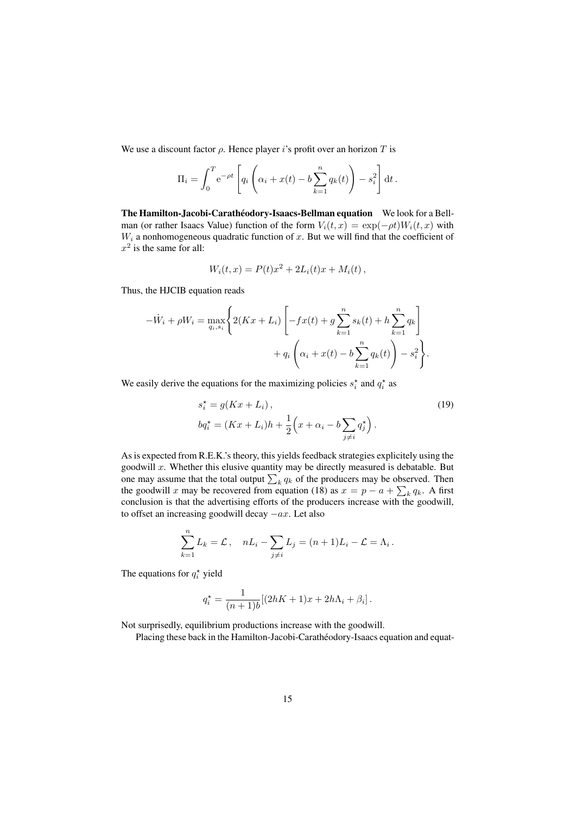We use a discount factor  $\rho$ . Hence player is profit over an horizon T is

$$
\Pi_i = \int_0^T e^{-\rho t} \left[ q_i \left( \alpha_i + x(t) - b \sum_{k=1}^n q_k(t) \right) - s_i^2 \right] dt.
$$

The Hamilton-Jacobi-Carathéodory-Isaacs-Bellman equation We look for a Bellman (or rather Isaacs Value) function of the form  $V_i(t, x) = \exp(-\rho t)W_i(t, x)$  with  $W_i$  a nonhomogeneous quadratic function of x. But we will find that the coefficient of  $x^2$  is the same for all:

$$
W_i(t, x) = P(t)x^2 + 2L_i(t)x + M_i(t),
$$

Thus, the HJCIB equation reads

$$
-W_i + \rho W_i = \max_{q_i, s_i} \left\{ 2(Kx + L_i) \left[ -fx(t) + g \sum_{k=1}^n s_k(t) + h \sum_{k=1}^n q_k \right] + q_i \left( \alpha_i + x(t) - b \sum_{k=1}^n q_k(t) \right) - s_i^2 \right\}.
$$

We easily derive the equations for the maximizing policies  $s_i^*$  and  $q_i^*$  as

$$
s_i^* = g(Kx + L_i),
$$
  
\n
$$
bq_i^* = (Kx + L_i)h + \frac{1}{2}\left(x + \alpha_i - b\sum_{j \neq i} q_j^*\right).
$$
\n(19)

As is expected from R.E.K.'s theory, this yields feedback strategies explicitely using the goodwill  $x$ . Whether this elusive quantity may be directly measured is debatable. But one may assume that the total output  $\sum_k q_k$  of the producers may be observed. Then the goodwill x may be recovered from equation (18) as  $x = p - a + \sum_k q_k$ . A first conclusion is that the advertising efforts of the producers increase with the goodwill, to offset an increasing goodwill decay  $-ax$ . Let also

$$
\sum_{k=1}^{n} L_k = \mathcal{L}, \quad nL_i - \sum_{j \neq i} L_j = (n+1)L_i - \mathcal{L} = \Lambda_i.
$$

The equations for  $q_i^*$  yield

$$
q_i^* = \frac{1}{(n+1)b} [(2hK + 1)x + 2h\Lambda_i + \beta_i].
$$

Not surprisedly, equilibrium productions increase with the goodwill.

Placing these back in the Hamilton-Jacobi-Carathéodory-Isaacs equation and equat-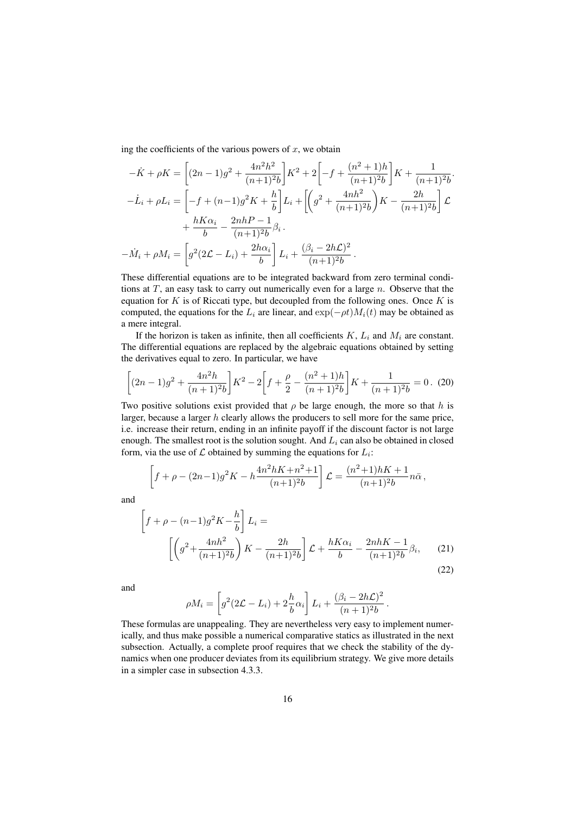ing the coefficients of the various powers of  $x$ , we obtain

$$
-\dot{K} + \rho K = \left[ (2n - 1)g^2 + \frac{4n^2h^2}{(n+1)^2b} \right] K^2 + 2 \left[ -f + \frac{(n^2 + 1)h}{(n+1)^2b} \right] K + \frac{1}{(n+1)^2b}.
$$
  

$$
-\dot{L}_i + \rho L_i = \left[ -f + (n-1)g^2K + \frac{h}{b} \right] L_i + \left[ \left( g^2 + \frac{4nh^2}{(n+1)^2b} \right) K - \frac{2h}{(n+1)^2b} \right] \mathcal{L}
$$

$$
+ \frac{hK\alpha_i}{b} - \frac{2nhP - 1}{(n+1)^2b} \beta_i.
$$

$$
-\dot{M}_i + \rho M_i = \left[ g^2(2\mathcal{L} - L_i) + \frac{2h\alpha_i}{b} \right] L_i + \frac{(\beta_i - 2h\mathcal{L})^2}{(n+1)^2b}.
$$

These differential equations are to be integrated backward from zero terminal conditions at  $T$ , an easy task to carry out numerically even for a large  $n$ . Observe that the equation for  $K$  is of Riccati type, but decoupled from the following ones. Once  $K$  is computed, the equations for the  $L_i$  are linear, and  $\exp(-\rho t)M_i(t)$  may be obtained as a mere integral.

If the horizon is taken as infinite, then all coefficients  $K, L_i$  and  $M_i$  are constant. The differential equations are replaced by the algebraic equations obtained by setting the derivatives equal to zero. In particular, we have

$$
\left[ (2n-1)g^2 + \frac{4n^2h}{(n+1)^2b} \right] K^2 - 2 \left[ f + \frac{\rho}{2} - \frac{(n^2+1)h}{(n+1)^2b} \right] K + \frac{1}{(n+1)^2b} = 0. \tag{20}
$$

Two positive solutions exist provided that  $\rho$  be large enough, the more so that h is larger, because a larger  $h$  clearly allows the producers to sell more for the same price, i.e. increase their return, ending in an infinite payoff if the discount factor is not large enough. The smallest root is the solution sought. And  $L<sub>i</sub>$  can also be obtained in closed form, via the use of  $\mathcal L$  obtained by summing the equations for  $L_i$ :

$$
\[f + \rho - (2n-1)g^2 K - h \frac{4n^2 hK + n^2 + 1}{(n+1)^2 b}\] \mathcal{L} = \frac{(n^2+1)hK + 1}{(n+1)^2 b} n\bar{\alpha},
$$

and

$$
\[ f + \rho - (n-1)g^2 K - \frac{h}{b} \] L_i =
$$
\n
$$
\[ \left( g^2 + \frac{4nh^2}{(n+1)^2 b} \right) K - \frac{2h}{(n+1)^2 b} \] \mathcal{L} + \frac{hK\alpha_i}{b} - \frac{2nhK - 1}{(n+1)^2 b} \beta_i, \qquad (21)
$$
\n(22)

and

$$
\rho M_i = \left[ g^2 (2\mathcal{L} - L_i) + 2\frac{h}{b} \alpha_i \right] L_i + \frac{(\beta_i - 2h\mathcal{L})^2}{(n+1)^2 b}
$$

.

These formulas are unappealing. They are nevertheless very easy to implement numerically, and thus make possible a numerical comparative statics as illustrated in the next subsection. Actually, a complete proof requires that we check the stability of the dynamics when one producer deviates from its equilibrium strategy. We give more details in a simpler case in subsection 4.3.3.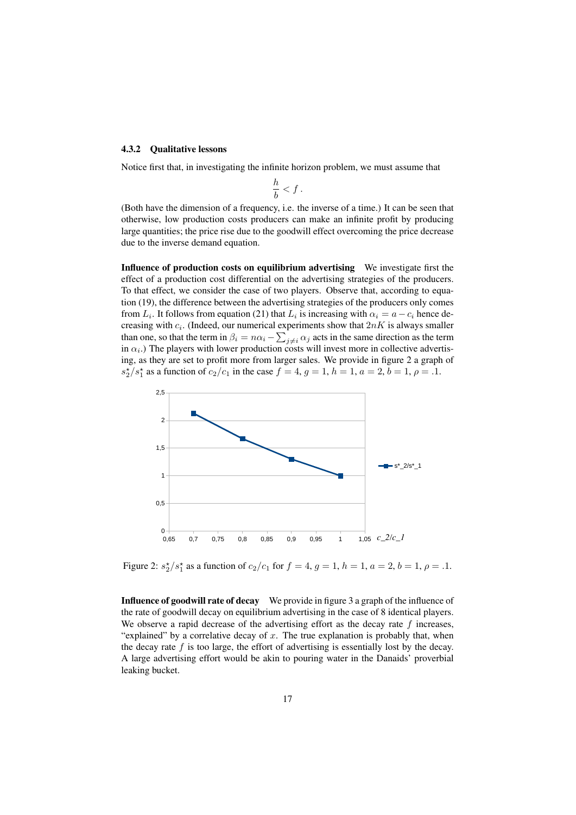#### 4.3.2 Qualitative lessons

Notice first that, in investigating the infinite horizon problem, we must assume that

$$
\frac{h}{b} < f.
$$

(Both have the dimension of a frequency, i.e. the inverse of a time.) It can be seen that otherwise, low production costs producers can make an infinite profit by producing large quantities; the price rise due to the goodwill effect overcoming the price decrease due to the inverse demand equation.

Influence of production costs on equilibrium advertising We investigate first the effect of a production cost differential on the advertising strategies of the producers. To that effect, we consider the case of two players. Observe that, according to equation (19), the difference between the advertising strategies of the producers only comes from  $L_i$ . It follows from equation (21) that  $L_i$  is increasing with  $\alpha_i = a - c_i$  hence decreasing with  $c_i$ . (Indeed, our numerical experiments show that  $2nK$  is always smaller than one, so that the term in  $\beta_i = n\alpha_i - \sum_{j \neq i} \alpha_j$  acts in the same direction as the term in  $\alpha_i$ .) The players with lower production costs will invest more in collective advertising, as they are set to profit more from larger sales. We provide in figure 2 a graph of  $s_2^{\star}/s_1^{\star}$  as a function of  $c_2/c_1$  in the case  $f = 4$ ,  $g = 1$ ,  $h = 1$ ,  $a = 2$ ,  $b = 1$ ,  $\rho = .1$ .



Figure 2:  $s_2^{\star}/s_1^{\star}$  as a function of  $c_2/c_1$  for  $f = 4$ ,  $g = 1$ ,  $h = 1$ ,  $a = 2$ ,  $b = 1$ ,  $\rho = .1$ .

Influence of goodwill rate of decay We provide in figure 3 a graph of the influence of the rate of goodwill decay on equilibrium advertising in the case of 8 identical players. We observe a rapid decrease of the advertising effort as the decay rate  $f$  increases, "explained" by a correlative decay of  $x$ . The true explanation is probably that, when the decay rate  $f$  is too large, the effort of advertising is essentially lost by the decay. A large advertising effort would be akin to pouring water in the Danaids' proverbial leaking bucket.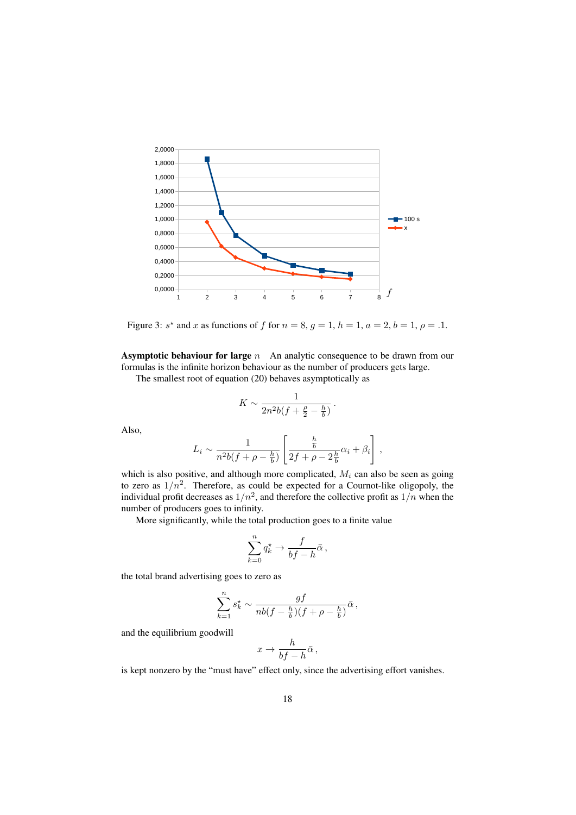

Figure 3:  $s^*$  and x as functions of f for  $n = 8$ ,  $g = 1$ ,  $h = 1$ ,  $a = 2$ ,  $b = 1$ ,  $\rho = 0.1$ .

**Asymptotic behaviour for large**  $n$  An analytic consequence to be drawn from our formulas is the infinite horizon behaviour as the number of producers gets large.

The smallest root of equation (20) behaves asymptotically as

$$
K \sim \frac{1}{2n^2b(f+\frac{\rho}{2}-\frac{h}{b})}.
$$

Also,

$$
L_i \sim \frac{1}{n^2 b(f + \rho - \frac{h}{b})} \left[ \frac{\frac{h}{b}}{2f + \rho - 2\frac{h}{b}} \alpha_i + \beta_i \right],
$$

which is also positive, and although more complicated,  $M_i$  can also be seen as going to zero as  $1/n^2$ . Therefore, as could be expected for a Cournot-like oligopoly, the individual profit decreases as  $1/n^2$ , and therefore the collective profit as  $1/n$  when the number of producers goes to infinity.

More significantly, while the total production goes to a finite value

$$
\sum_{k=0}^n q_k^{\star} \to \frac{f}{bf-h} \bar{\alpha},
$$

the total brand advertising goes to zero as

$$
\sum_{k=1}^n s_k^{\star} \sim \frac{gf}{nb(f - \frac{h}{b})(f + \rho - \frac{h}{b})}\bar{\alpha},
$$

and the equilibrium goodwill

$$
x \to \frac{h}{bf-h}\bar{\alpha}\,,
$$

is kept nonzero by the "must have" effect only, since the advertising effort vanishes.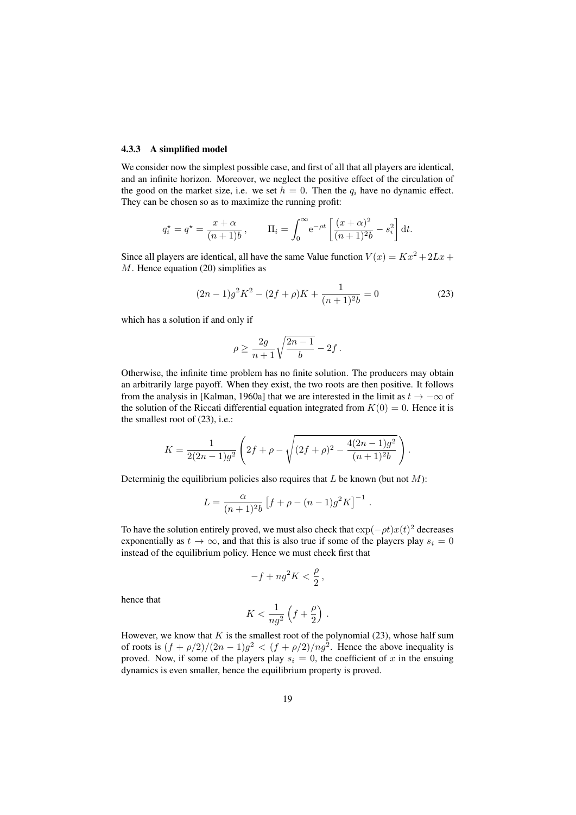#### 4.3.3 A simplified model

We consider now the simplest possible case, and first of all that all players are identical, and an infinite horizon. Moreover, we neglect the positive effect of the circulation of the good on the market size, i.e. we set  $h = 0$ . Then the  $q_i$  have no dynamic effect. They can be chosen so as to maximize the running profit:

$$
q_i^* = q^* = \frac{x + \alpha}{(n+1)b}, \qquad \Pi_i = \int_0^\infty e^{-\rho t} \left[ \frac{(x + \alpha)^2}{(n+1)^2 b} - s_i^2 \right] dt.
$$

Since all players are identical, all have the same Value function  $V(x) = Kx^2 + 2Lx +$  $M$ . Hence equation (20) simplifies as

$$
(2n-1)g2K2 - (2f + \rho)K + \frac{1}{(n+1)^{2}b} = 0
$$
 (23)

which has a solution if and only if

$$
\rho \geq \frac{2g}{n+1}\sqrt{\frac{2n-1}{b}}-2f\,.
$$

Otherwise, the infinite time problem has no finite solution. The producers may obtain an arbitrarily large payoff. When they exist, the two roots are then positive. It follows from the analysis in [Kalman, 1960a] that we are interested in the limit as  $t \to -\infty$  of the solution of the Riccati differential equation integrated from  $K(0) = 0$ . Hence it is the smallest root of (23), i.e.:

$$
K = \frac{1}{2(2n-1)g^2} \left( 2f + \rho - \sqrt{(2f + \rho)^2 - \frac{4(2n-1)g^2}{(n+1)^2b}} \right).
$$

Determinig the equilibrium policies also requires that  $L$  be known (but not  $M$ ):

$$
L = \frac{\alpha}{(n+1)^2 b} \left[ f + \rho - (n-1) g^2 K \right]^{-1}.
$$

To have the solution entirely proved, we must also check that  $\exp(-\rho t)x(t)^2$  decreases exponentially as  $t \to \infty$ , and that this is also true if some of the players play  $s_i = 0$ instead of the equilibrium policy. Hence we must check first that

$$
-f + ng^2 K < \frac{\rho}{2} \,,
$$

hence that

$$
K < \frac{1}{ng^2} \left( f + \frac{\rho}{2} \right) \, .
$$

However, we know that  $K$  is the smallest root of the polynomial (23), whose half sum of roots is  $(f + \rho/2)/(2n - 1)g^2 < (f + \rho/2)/n g^2$ . Hence the above inequality is proved. Now, if some of the players play  $s_i = 0$ , the coefficient of x in the ensuing dynamics is even smaller, hence the equilibrium property is proved.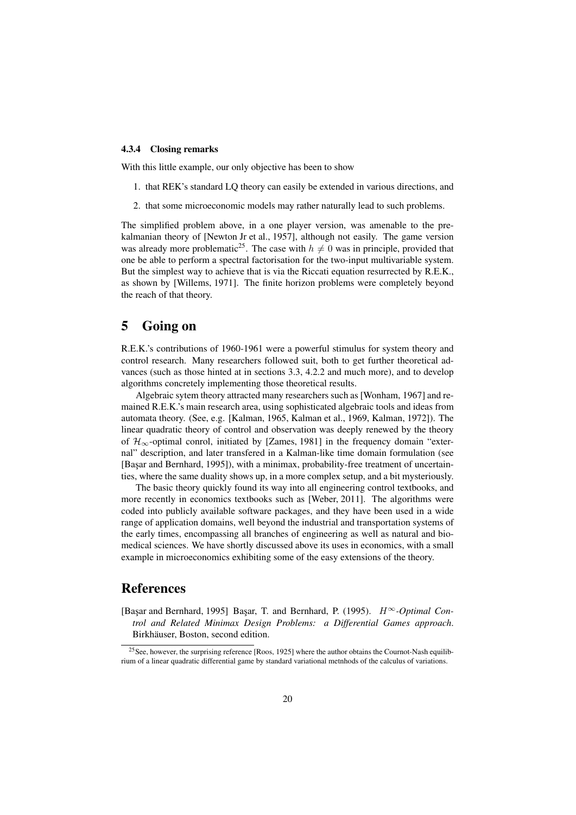#### 4.3.4 Closing remarks

With this little example, our only objective has been to show

- 1. that REK's standard LQ theory can easily be extended in various directions, and
- 2. that some microeconomic models may rather naturally lead to such problems.

The simplified problem above, in a one player version, was amenable to the prekalmanian theory of [Newton Jr et al., 1957], although not easily. The game version was already more problematic<sup>25</sup>. The case with  $h \neq 0$  was in principle, provided that one be able to perform a spectral factorisation for the two-input multivariable system. But the simplest way to achieve that is via the Riccati equation resurrected by R.E.K., as shown by [Willems, 1971]. The finite horizon problems were completely beyond the reach of that theory.

## 5 Going on

R.E.K.'s contributions of 1960-1961 were a powerful stimulus for system theory and control research. Many researchers followed suit, both to get further theoretical advances (such as those hinted at in sections 3.3, 4.2.2 and much more), and to develop algorithms concretely implementing those theoretical results.

Algebraic sytem theory attracted many researchers such as [Wonham, 1967] and remained R.E.K.'s main research area, using sophisticated algebraic tools and ideas from automata theory. (See, e.g. [Kalman, 1965, Kalman et al., 1969, Kalman, 1972]). The linear quadratic theory of control and observation was deeply renewed by the theory of  $\mathcal{H}_{\infty}$ -optimal conrol, initiated by [Zames, 1981] in the frequency domain "external" description, and later transfered in a Kalman-like time domain formulation (see [Basar and Bernhard, 1995]), with a minimax, probability-free treatment of uncertainties, where the same duality shows up, in a more complex setup, and a bit mysteriously.

The basic theory quickly found its way into all engineering control textbooks, and more recently in economics textbooks such as [Weber, 2011]. The algorithms were coded into publicly available software packages, and they have been used in a wide range of application domains, well beyond the industrial and transportation systems of the early times, encompassing all branches of engineering as well as natural and biomedical sciences. We have shortly discussed above its uses in economics, with a small example in microeconomics exhibiting some of the easy extensions of the theory.

## References

[Bas¸ar and Bernhard, 1995] Bas¸ar, T. and Bernhard, P. (1995). H∞*-Optimal Control and Related Minimax Design Problems: a Differential Games approach*. Birkhäuser, Boston, second edition.

<sup>25</sup>See, however, the surprising reference [Roos, 1925] where the author obtains the Cournot-Nash equilibrium of a linear quadratic differential game by standard variational metnhods of the calculus of variations.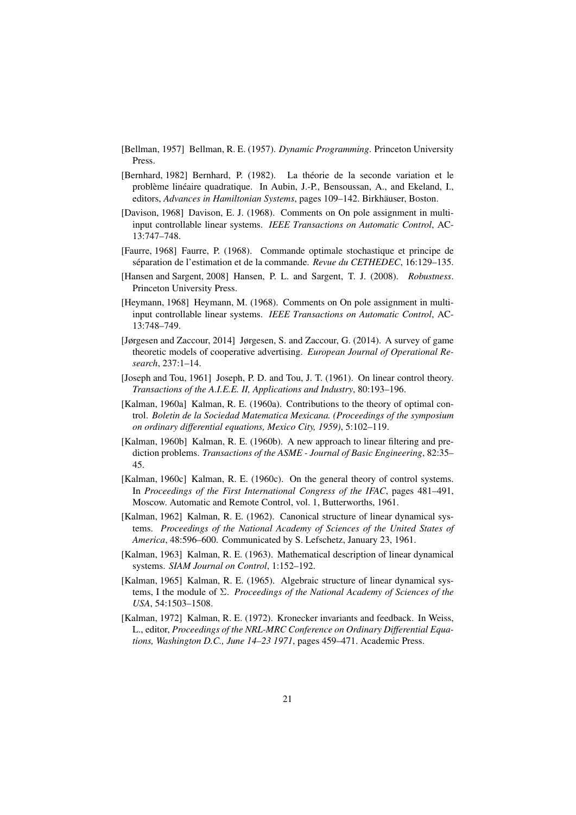- [Bellman, 1957] Bellman, R. E. (1957). *Dynamic Programming*. Princeton University Press.
- [Bernhard, 1982] Bernhard, P. (1982). La theorie de la seconde variation et le ´ problème linéaire quadratique. In Aubin, J.-P., Bensoussan, A., and Ekeland, I., editors, *Advances in Hamiltonian Systems*, pages 109–142. Birkhäuser, Boston.
- [Davison, 1968] Davison, E. J. (1968). Comments on On pole assignment in multiinput controllable linear systems. *IEEE Transactions on Automatic Control*, AC-13:747–748.
- [Faurre, 1968] Faurre, P. (1968). Commande optimale stochastique et principe de séparation de l'estimation et de la commande. Revue du CETHEDEC, 16:129–135.
- [Hansen and Sargent, 2008] Hansen, P. L. and Sargent, T. J. (2008). *Robustness*. Princeton University Press.
- [Heymann, 1968] Heymann, M. (1968). Comments on On pole assignment in multiinput controllable linear systems. *IEEE Transactions on Automatic Control*, AC-13:748–749.
- [Jørgesen and Zaccour, 2014] Jørgesen, S. and Zaccour, G. (2014). A survey of game theoretic models of cooperative advertising. *European Journal of Operational Research*, 237:1–14.
- [Joseph and Tou, 1961] Joseph, P. D. and Tou, J. T. (1961). On linear control theory. *Transactions of the A.I.E.E. II, Applications and Industry*, 80:193–196.
- [Kalman, 1960a] Kalman, R. E. (1960a). Contributions to the theory of optimal control. *Boletin de la Sociedad Matematica Mexicana. (Proceedings of the symposium on ordinary differential equations, Mexico City, 1959)*, 5:102–119.
- [Kalman, 1960b] Kalman, R. E. (1960b). A new approach to linear filtering and prediction problems. *Transactions of the ASME - Journal of Basic Engineering*, 82:35– 45.
- [Kalman, 1960c] Kalman, R. E. (1960c). On the general theory of control systems. In *Proceedings of the First International Congress of the IFAC*, pages 481–491, Moscow. Automatic and Remote Control, vol. 1, Butterworths, 1961.
- [Kalman, 1962] Kalman, R. E. (1962). Canonical structure of linear dynamical systems. *Proceedings of the National Academy of Sciences of the United States of America*, 48:596–600. Communicated by S. Lefschetz, January 23, 1961.
- [Kalman, 1963] Kalman, R. E. (1963). Mathematical description of linear dynamical systems. *SIAM Journal on Control*, 1:152–192.
- [Kalman, 1965] Kalman, R. E. (1965). Algebraic structure of linear dynamical systems, I the module of Σ. *Proceedings of the National Academy of Sciences of the USA*, 54:1503–1508.
- [Kalman, 1972] Kalman, R. E. (1972). Kronecker invariants and feedback. In Weiss, L., editor, *Proceedings of the NRL-MRC Conference on Ordinary Differential Equations, Washington D.C., June 14–23 1971*, pages 459–471. Academic Press.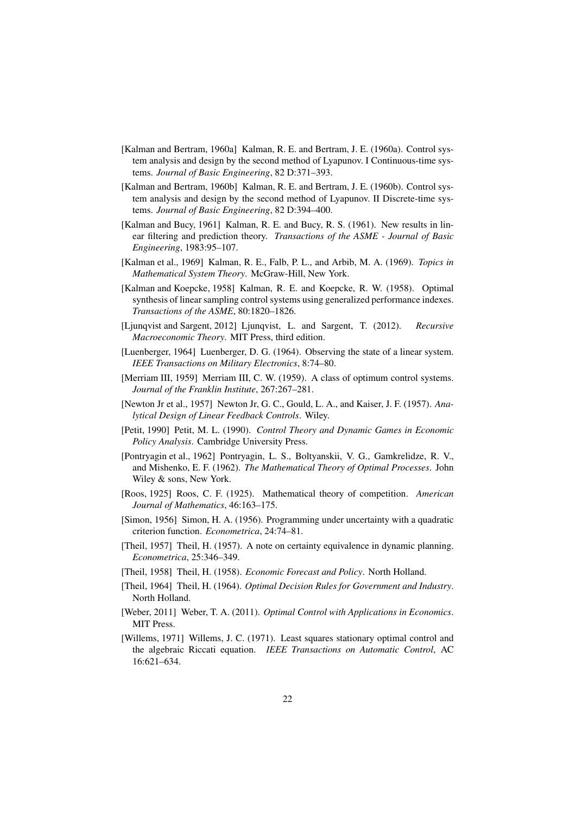- [Kalman and Bertram, 1960a] Kalman, R. E. and Bertram, J. E. (1960a). Control system analysis and design by the second method of Lyapunov. I Continuous-time systems. *Journal of Basic Engineering*, 82 D:371–393.
- [Kalman and Bertram, 1960b] Kalman, R. E. and Bertram, J. E. (1960b). Control system analysis and design by the second method of Lyapunov. II Discrete-time systems. *Journal of Basic Engineering*, 82 D:394–400.
- [Kalman and Bucy, 1961] Kalman, R. E. and Bucy, R. S. (1961). New results in linear filtering and prediction theory. *Transactions of the ASME - Journal of Basic Engineering*, 1983:95–107.
- [Kalman et al., 1969] Kalman, R. E., Falb, P. L., and Arbib, M. A. (1969). *Topics in Mathematical System Theory*. McGraw-Hill, New York.
- [Kalman and Koepcke, 1958] Kalman, R. E. and Koepcke, R. W. (1958). Optimal synthesis of linear sampling control systems using generalized performance indexes. *Transactions of the ASME*, 80:1820–1826.
- [Ljunqvist and Sargent, 2012] Ljunqvist, L. and Sargent, T. (2012). *Recursive Macroeconomic Theory*. MIT Press, third edition.
- [Luenberger, 1964] Luenberger, D. G. (1964). Observing the state of a linear system. *IEEE Transactions on Military Electronics*, 8:74–80.
- [Merriam III, 1959] Merriam III, C. W. (1959). A class of optimum control systems. *Journal of the Franklin Institute*, 267:267–281.
- [Newton Jr et al., 1957] Newton Jr, G. C., Gould, L. A., and Kaiser, J. F. (1957). *Analytical Design of Linear Feedback Controls*. Wiley.
- [Petit, 1990] Petit, M. L. (1990). *Control Theory and Dynamic Games in Economic Policy Analysis*. Cambridge University Press.
- [Pontryagin et al., 1962] Pontryagin, L. S., Boltyanskii, V. G., Gamkrelidze, R. V., and Mishenko, E. F. (1962). *The Mathematical Theory of Optimal Processes*. John Wiley & sons, New York.
- [Roos, 1925] Roos, C. F. (1925). Mathematical theory of competition. *American Journal of Mathematics*, 46:163–175.
- [Simon, 1956] Simon, H. A. (1956). Programming under uncertainty with a quadratic criterion function. *Econometrica*, 24:74–81.
- [Theil, 1957] Theil, H. (1957). A note on certainty equivalence in dynamic planning. *Econometrica*, 25:346–349.
- [Theil, 1958] Theil, H. (1958). *Economic Forecast and Policy*. North Holland.
- [Theil, 1964] Theil, H. (1964). *Optimal Decision Rules for Government and Industry*. North Holland.
- [Weber, 2011] Weber, T. A. (2011). *Optimal Control with Applications in Economics*. MIT Press.
- [Willems, 1971] Willems, J. C. (1971). Least squares stationary optimal control and the algebraic Riccati equation. *IEEE Transactions on Automatic Control*, AC 16:621–634.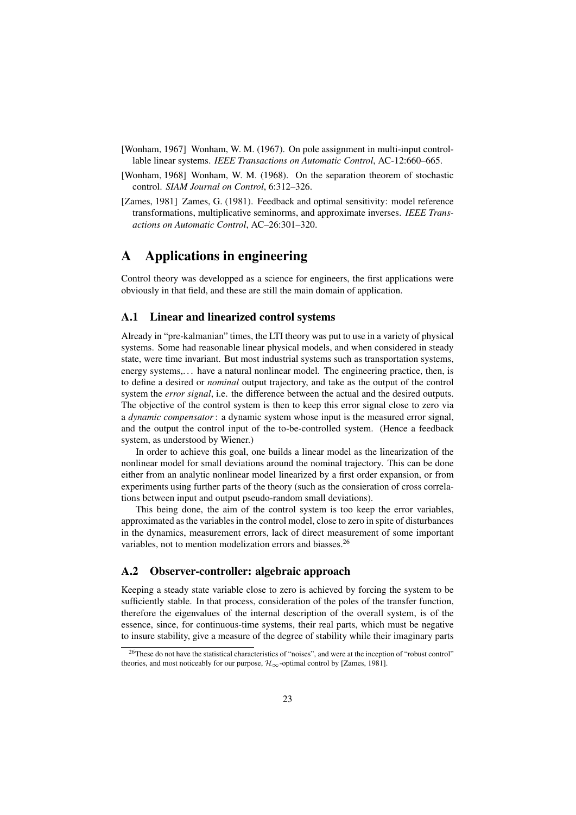- [Wonham, 1967] Wonham, W. M. (1967). On pole assignment in multi-input controllable linear systems. *IEEE Transactions on Automatic Control*, AC-12:660–665.
- [Wonham, 1968] Wonham, W. M. (1968). On the separation theorem of stochastic control. *SIAM Journal on Control*, 6:312–326.
- [Zames, 1981] Zames, G. (1981). Feedback and optimal sensitivity: model reference transformations, multiplicative seminorms, and approximate inverses. *IEEE Transactions on Automatic Control*, AC–26:301–320.

## A Applications in engineering

Control theory was developped as a science for engineers, the first applications were obviously in that field, and these are still the main domain of application.

#### A.1 Linear and linearized control systems

Already in "pre-kalmanian" times, the LTI theory was put to use in a variety of physical systems. Some had reasonable linear physical models, and when considered in steady state, were time invariant. But most industrial systems such as transportation systems, energy systems,... have a natural nonlinear model. The engineering practice, then, is to define a desired or *nominal* output trajectory, and take as the output of the control system the *error signal*, i.e. the difference between the actual and the desired outputs. The objective of the control system is then to keep this error signal close to zero via a *dynamic compensator*: a dynamic system whose input is the measured error signal, and the output the control input of the to-be-controlled system. (Hence a feedback system, as understood by Wiener.)

In order to achieve this goal, one builds a linear model as the linearization of the nonlinear model for small deviations around the nominal trajectory. This can be done either from an analytic nonlinear model linearized by a first order expansion, or from experiments using further parts of the theory (such as the consieration of cross correlations between input and output pseudo-random small deviations).

This being done, the aim of the control system is too keep the error variables, approximated as the variables in the control model, close to zero in spite of disturbances in the dynamics, measurement errors, lack of direct measurement of some important variables, not to mention modelization errors and biasses.<sup>26</sup>

#### A.2 Observer-controller: algebraic approach

Keeping a steady state variable close to zero is achieved by forcing the system to be sufficiently stable. In that process, consideration of the poles of the transfer function, therefore the eigenvalues of the internal description of the overall system, is of the essence, since, for continuous-time systems, their real parts, which must be negative to insure stability, give a measure of the degree of stability while their imaginary parts

<sup>26</sup>These do not have the statistical characteristics of "noises", and were at the inception of "robust control" theories, and most noticeably for our purpose,  $\mathcal{H}_{\infty}$ -optimal control by [Zames, 1981].